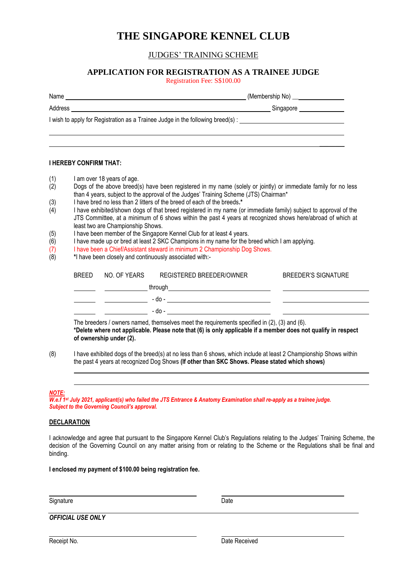# **THE SINGAPORE KENNEL CLUB**

## JUDGES' TRAINING SCHEME

## **APPLICATION FOR REGISTRATION AS A TRAINEE JUDGE**

Registration Fee: S\$100.00

| Name                                                                                                 |                               |
|------------------------------------------------------------------------------------------------------|-------------------------------|
| Address                                                                                              | Singapore ___________________ |
| I wish to apply for Registration as a Trainee Judge in the following breed(s) : ____________________ |                               |
|                                                                                                      |                               |
|                                                                                                      |                               |

### **I HEREBY CONFIRM THAT:**

- (1) I am over 18 years of age.<br>(2) Dogs of the above breed
- Dogs of the above breed(s) have been registered in my name (solely or jointly) or immediate family for no less than 4 years, subject to the approval of the Judges' Training Scheme (JTS) Chairman\*
- (3) I have bred no less than 2 litters of the breed of each of the breeds**.\***
- I have exhibited/shown dogs of that breed registered in my name (or immediate family) subject to approval of the JTS Committee, at a minimum of 6 shows within the past 4 years at recognized shows here/abroad of which at least two are Championship Shows.
- (5) I have been member of the Singapore Kennel Club for at least 4 years.
- (6) I have made up or bred at least 2 SKC Champions in my name for the breed which I am applying.
- (7) I have been a Chief/Assistant steward in minimum 2 Championship Dog Shows.<br>  $(8)$  \* I have been closely and continuously associated with:-
- (8) **\***I have been closely and continuously associated with:-

| <b>BREED</b> | NO. OF YEARS | REGISTERED BREEDER/OWNER | <b>BREEDER'S SIGNATURE</b> |
|--------------|--------------|--------------------------|----------------------------|
|              |              | through                  |                            |
|              |              | - do -                   |                            |
|              |              | - do -                   |                            |

The breeders / owners named, themselves meet the requirements specified in (2), (3) and (6). **\*Delete where not applicable. Please note that (6) is only applicable if a member does not qualify in respect of ownership under (2).**

(8) I have exhibited dogs of the breed(s) at no less than 6 shows, which include at least 2 Championship Shows within the past 4 years at recognized Dog Shows **(If other than SKC Shows. Please stated which shows)**

#### *NOTE:*

*W.e.f 1st July 2021, applicant(s) who failed the JTS Entrance & Anatomy Examination shall re-apply as a trainee judge. Subject to the Governing Council's approval.* 

### **DECLARATION**

I acknowledge and agree that pursuant to the Singapore Kennel Club's Regulations relating to the Judges' Training Scheme, the decision of the Governing Council on any matter arising from or relating to the Scheme or the Regulations shall be final and binding.

**I enclosed my payment of \$100.00 being registration fee.**

Signature Date

*OFFICIAL USE ONLY* 

Receipt No. **Date Received**